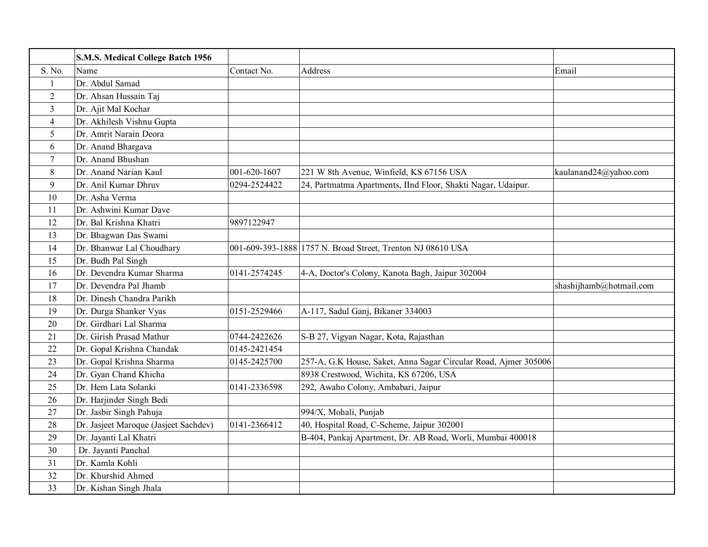|                | S.M.S. Medical College Batch 1956     |              |                                                                 |                         |
|----------------|---------------------------------------|--------------|-----------------------------------------------------------------|-------------------------|
| S. No.         | Name                                  | Contact No.  | Address                                                         | Email                   |
| $\mathbf{1}$   | Dr. Abdul Samad                       |              |                                                                 |                         |
| $\overline{2}$ | Dr. Ahsan Hussain Taj                 |              |                                                                 |                         |
| $\overline{3}$ | Dr. Ajit Mal Kochar                   |              |                                                                 |                         |
| 4              | Dr. Akhilesh Vishnu Gupta             |              |                                                                 |                         |
| 5              | Dr. Amrit Narain Deora                |              |                                                                 |                         |
| 6              | Dr. Anand Bhargava                    |              |                                                                 |                         |
| $\tau$         | Dr. Anand Bhushan                     |              |                                                                 |                         |
| 8              | Dr. Anand Narian Kaul                 | 001-620-1607 | 221 W 8th Avenue, Winfield, KS 67156 USA                        | kaulanand24@yahoo.com   |
| 9              | Dr. Anil Kumar Dhruv                  | 0294-2524422 | 24, Partmatma Apartments, IInd Floor, Shakti Nagar, Udaipur.    |                         |
| 10             | Dr. Asha Verma                        |              |                                                                 |                         |
| 11             | Dr. Ashwini Kumar Dave                |              |                                                                 |                         |
| 12             | Dr. Bal Krishna Khatri                | 9897122947   |                                                                 |                         |
| 13             | Dr. Bhagwan Das Swami                 |              |                                                                 |                         |
| 14             | Dr. Bhanwar Lal Choudhary             |              | 001-609-393-1888 1757 N. Broad Street, Trenton NJ 08610 USA     |                         |
| 15             | Dr. Budh Pal Singh                    |              |                                                                 |                         |
| 16             | Dr. Devendra Kumar Sharma             | 0141-2574245 | 4-A, Doctor's Colony, Kanota Bagh, Jaipur 302004                |                         |
| 17             | Dr. Devendra Pal Jhamb                |              |                                                                 | shashijhamb@hotmail.com |
| 18             | Dr. Dinesh Chandra Parikh             |              |                                                                 |                         |
| 19             | Dr. Durga Shanker Vyas                | 0151-2529466 | A-117, Sadul Ganj, Bikaner 334003                               |                         |
| 20             | Dr. Girdhari Lal Sharma               |              |                                                                 |                         |
| 21             | Dr. Girish Prasad Mathur              | 0744-2422626 | S-B 27, Vigyan Nagar, Kota, Rajasthan                           |                         |
| 22             | Dr. Gopal Krishna Chandak             | 0145-2421454 |                                                                 |                         |
| 23             | Dr. Gopal Krishna Sharma              | 0145-2425700 | 257-A, G.K House, Saket, Anna Sagar Circular Road, Ajmer 305006 |                         |
| 24             | Dr. Gyan Chand Khicha                 |              | 8938 Crestwood, Wichita, KS 67206, USA                          |                         |
| 25             | Dr. Hem Lata Solanki                  | 0141-2336598 | 292, Awaho Colony, Ambabari, Jaipur                             |                         |
| 26             | Dr. Harjinder Singh Bedi              |              |                                                                 |                         |
| 27             | Dr. Jasbir Singh Pahuja               |              | 994/X, Mohali, Punjab                                           |                         |
| 28             | Dr. Jasjeet Maroque (Jasjeet Sachdev) | 0141-2366412 | 40, Hospital Road, C-Scheme, Jaipur 302001                      |                         |
| 29             | Dr. Jayanti Lal Khatri                |              | B-404, Pankaj Apartment, Dr. AB Road, Worli, Mumbai 400018      |                         |
| 30             | Dr. Jayanti Panchal                   |              |                                                                 |                         |
| 31             | Dr. Kamla Kohli                       |              |                                                                 |                         |
| 32             | Dr. Khurshid Ahmed                    |              |                                                                 |                         |
| 33             | Dr. Kishan Singh Jhala                |              |                                                                 |                         |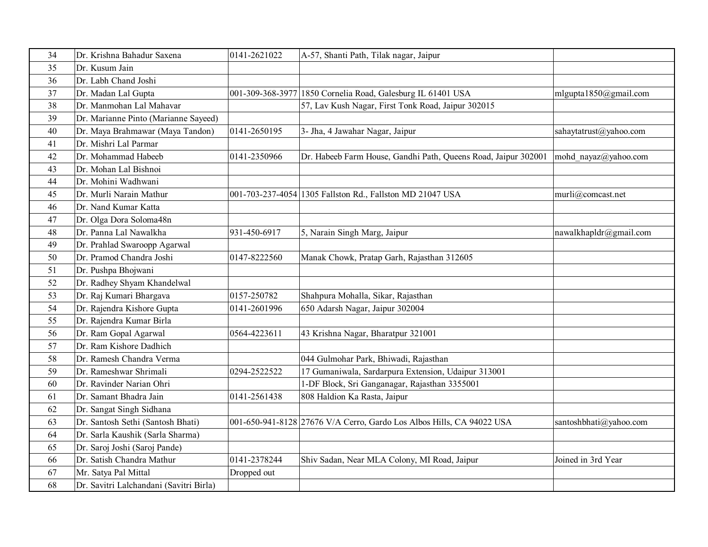| 34 | Dr. Krishna Bahadur Saxena              | 0141-2621022 | A-57, Shanti Path, Tilak nagar, Jaipur                                |                        |
|----|-----------------------------------------|--------------|-----------------------------------------------------------------------|------------------------|
| 35 | Dr. Kusum Jain                          |              |                                                                       |                        |
| 36 | Dr. Labh Chand Joshi                    |              |                                                                       |                        |
| 37 | Dr. Madan Lal Gupta                     |              | 001-309-368-3977 1850 Cornelia Road, Galesburg IL 61401 USA           | mlgupta1850@gmail.com  |
| 38 | Dr. Manmohan Lal Mahavar                |              | 57, Lav Kush Nagar, First Tonk Road, Jaipur 302015                    |                        |
| 39 | Dr. Marianne Pinto (Marianne Sayeed)    |              |                                                                       |                        |
| 40 | Dr. Maya Brahmawar (Maya Tandon)        | 0141-2650195 | 3- Jha, 4 Jawahar Nagar, Jaipur                                       | sahaytatrust@yahoo.com |
| 41 | Dr. Mishri Lal Parmar                   |              |                                                                       |                        |
| 42 | Dr. Mohammad Habeeb                     | 0141-2350966 | Dr. Habeeb Farm House, Gandhi Path, Queens Road, Jaipur 302001        | mohd nayaz@yahoo.com   |
| 43 | Dr. Mohan Lal Bishnoi                   |              |                                                                       |                        |
| 44 | Dr. Mohini Wadhwani                     |              |                                                                       |                        |
| 45 | Dr. Murli Narain Mathur                 |              | 001-703-237-4054 1305 Fallston Rd., Fallston MD 21047 USA             | murli@comcast.net      |
| 46 | Dr. Nand Kumar Katta                    |              |                                                                       |                        |
| 47 | Dr. Olga Dora Soloma48n                 |              |                                                                       |                        |
| 48 | Dr. Panna Lal Nawalkha                  | 931-450-6917 | 5, Narain Singh Marg, Jaipur                                          | nawalkhapldr@gmail.com |
| 49 | Dr. Prahlad Swaroopp Agarwal            |              |                                                                       |                        |
| 50 | Dr. Pramod Chandra Joshi                | 0147-8222560 | Manak Chowk, Pratap Garh, Rajasthan 312605                            |                        |
| 51 | Dr. Pushpa Bhojwani                     |              |                                                                       |                        |
| 52 | Dr. Radhey Shyam Khandelwal             |              |                                                                       |                        |
| 53 | Dr. Raj Kumari Bhargava                 | 0157-250782  | Shahpura Mohalla, Sikar, Rajasthan                                    |                        |
| 54 | Dr. Rajendra Kishore Gupta              | 0141-2601996 | 650 Adarsh Nagar, Jaipur 302004                                       |                        |
| 55 | Dr. Rajendra Kumar Birla                |              |                                                                       |                        |
| 56 | Dr. Ram Gopal Agarwal                   | 0564-4223611 | 43 Krishna Nagar, Bharatpur 321001                                    |                        |
| 57 | Dr. Ram Kishore Dadhich                 |              |                                                                       |                        |
| 58 | Dr. Ramesh Chandra Verma                |              | 044 Gulmohar Park, Bhiwadi, Rajasthan                                 |                        |
| 59 | Dr. Rameshwar Shrimali                  | 0294-2522522 | 17 Gumaniwala, Sardarpura Extension, Udaipur 313001                   |                        |
| 60 | Dr. Ravinder Narian Ohri                |              | 1-DF Block, Sri Ganganagar, Rajasthan 3355001                         |                        |
| 61 | Dr. Samant Bhadra Jain                  | 0141-2561438 | 808 Haldion Ka Rasta, Jaipur                                          |                        |
| 62 | Dr. Sangat Singh Sidhana                |              |                                                                       |                        |
| 63 | Dr. Santosh Sethi (Santosh Bhati)       |              | 001-650-941-8128 27676 V/A Cerro, Gardo Los Albos Hills, CA 94022 USA | santoshbhati@yahoo.com |
| 64 | Dr. Sarla Kaushik (Sarla Sharma)        |              |                                                                       |                        |
| 65 | Dr. Saroj Joshi (Saroj Pande)           |              |                                                                       |                        |
| 66 | Dr. Satish Chandra Mathur               | 0141-2378244 | Shiv Sadan, Near MLA Colony, MI Road, Jaipur                          | Joined in 3rd Year     |
| 67 | Mr. Satya Pal Mittal                    | Dropped out  |                                                                       |                        |
| 68 | Dr. Savitri Lalchandani (Savitri Birla) |              |                                                                       |                        |